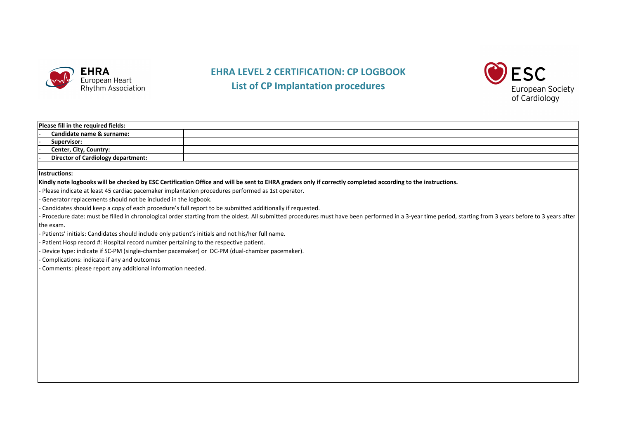

## **EHRA LEVEL 2 CERTIFICATION: CP LOGBOOK List of CP Implantation Implantationprocedures rocedures**



| Please fill in the required fields:                                                                      |                                                                                                                                                                                                          |
|----------------------------------------------------------------------------------------------------------|----------------------------------------------------------------------------------------------------------------------------------------------------------------------------------------------------------|
| Candidate name & surname:                                                                                |                                                                                                                                                                                                          |
| Supervisor:                                                                                              |                                                                                                                                                                                                          |
| <b>Center, City, Country:</b>                                                                            |                                                                                                                                                                                                          |
| <b>Director of Cardiology department:</b>                                                                |                                                                                                                                                                                                          |
|                                                                                                          |                                                                                                                                                                                                          |
| <b>Instructions:</b>                                                                                     |                                                                                                                                                                                                          |
|                                                                                                          | Kindly note logbooks will be checked by ESC Certification Office and will be sent to EHRA graders only if correctly completed according to the instructions.                                             |
| Please indicate at least 45 cardiac pacemaker implantation procedures performed as 1st operator.         |                                                                                                                                                                                                          |
| Generator replacements should not be included in the logbook.                                            |                                                                                                                                                                                                          |
| Candidates should keep a copy of each procedure's full report to be submitted additionally if requested. |                                                                                                                                                                                                          |
|                                                                                                          | Procedure date: must be filled in chronological order starting from the oldest. All submitted procedures must have been performed in a 3-year time period, starting from 3 years before to 3 years after |
| the exam.                                                                                                |                                                                                                                                                                                                          |
| Patients' initials: Candidates should include only patient's initials and not his/her full name.         |                                                                                                                                                                                                          |
| Patient Hosp record #: Hospital record number pertaining to the respective patient.                      |                                                                                                                                                                                                          |
| Device type: indicate if SC-PM (single-chamber pacemaker) or DC-PM (dual-chamber pacemaker).             |                                                                                                                                                                                                          |
| Complications: indicate if any and outcomes                                                              |                                                                                                                                                                                                          |
| Comments: please report any additional information needed.                                               |                                                                                                                                                                                                          |
|                                                                                                          |                                                                                                                                                                                                          |
|                                                                                                          |                                                                                                                                                                                                          |
|                                                                                                          |                                                                                                                                                                                                          |
|                                                                                                          |                                                                                                                                                                                                          |
|                                                                                                          |                                                                                                                                                                                                          |
|                                                                                                          |                                                                                                                                                                                                          |
|                                                                                                          |                                                                                                                                                                                                          |
|                                                                                                          |                                                                                                                                                                                                          |
|                                                                                                          |                                                                                                                                                                                                          |
|                                                                                                          |                                                                                                                                                                                                          |
|                                                                                                          |                                                                                                                                                                                                          |
|                                                                                                          |                                                                                                                                                                                                          |
|                                                                                                          |                                                                                                                                                                                                          |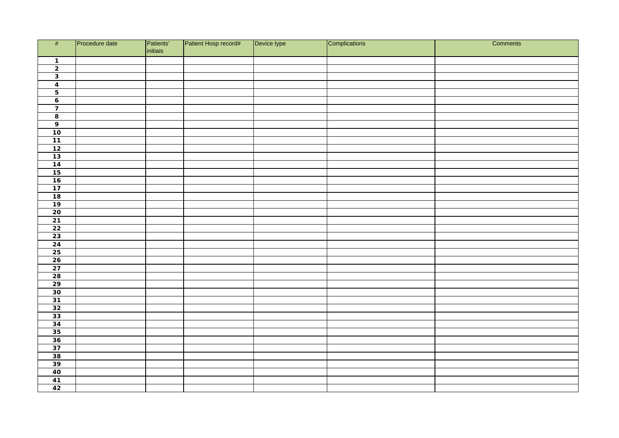| #                                                                                                            | Procedure date | Patients'<br>initiais | Patient Hosp record# | Device type | Complications | Comments |
|--------------------------------------------------------------------------------------------------------------|----------------|-----------------------|----------------------|-------------|---------------|----------|
| $\overline{1}$                                                                                               |                |                       |                      |             |               |          |
| $\overline{2}$                                                                                               |                |                       |                      |             |               |          |
| $\overline{\mathbf{3}}$                                                                                      |                |                       |                      |             |               |          |
| $\overline{4}$                                                                                               |                |                       |                      |             |               |          |
| $\overline{\phantom{0}}$                                                                                     |                |                       |                      |             |               |          |
| $\overline{6}$                                                                                               |                |                       |                      |             |               |          |
| $\overline{7}$                                                                                               |                |                       |                      |             |               |          |
| $\overline{\mathbf{8}}$                                                                                      |                |                       |                      |             |               |          |
| $\overline{9}$                                                                                               |                |                       |                      |             |               |          |
| 10                                                                                                           |                |                       |                      |             |               |          |
|                                                                                                              |                |                       |                      |             |               |          |
|                                                                                                              |                |                       |                      |             |               |          |
| $\begin{array}{r} \n \overline{11} \\ \overline{12} \\ \overline{13}\n \end{array}$                          |                |                       |                      |             |               |          |
|                                                                                                              |                |                       |                      |             |               |          |
| $\begin{array}{r} 14 \\ \hline 15 \\ \hline 16 \\ \hline 17 \\ \hline 18 \\ \hline 19 \\ \hline \end{array}$ |                |                       |                      |             |               |          |
|                                                                                                              |                |                       |                      |             |               |          |
|                                                                                                              |                |                       |                      |             |               |          |
|                                                                                                              |                |                       |                      |             |               |          |
|                                                                                                              |                |                       |                      |             |               |          |
| $20\degree$                                                                                                  |                |                       |                      |             |               |          |
| $\frac{21}{22}$                                                                                              |                |                       |                      |             |               |          |
|                                                                                                              |                |                       |                      |             |               |          |
| 23                                                                                                           |                |                       |                      |             |               |          |
|                                                                                                              |                |                       |                      |             |               |          |
| $\begin{array}{r} \n \overline{)24} \\ \overline{25} \\ \overline{26}\n \end{array}$                         |                |                       |                      |             |               |          |
|                                                                                                              |                |                       |                      |             |               |          |
| 27                                                                                                           |                |                       |                      |             |               |          |
| $\frac{28}{29}$                                                                                              |                |                       |                      |             |               |          |
|                                                                                                              |                |                       |                      |             |               |          |
| $\frac{30}{31}$<br>$\frac{31}{32}$<br>$\frac{32}{33}$                                                        |                |                       |                      |             |               |          |
|                                                                                                              |                |                       |                      |             |               |          |
|                                                                                                              |                |                       |                      |             |               |          |
|                                                                                                              |                |                       |                      |             |               |          |
|                                                                                                              |                |                       |                      |             |               |          |
|                                                                                                              |                |                       |                      |             |               |          |
|                                                                                                              |                |                       |                      |             |               |          |
| $\frac{34}{35}$<br>$\frac{36}{37}$<br>$\frac{38}{39}$                                                        |                |                       |                      |             |               |          |
|                                                                                                              |                |                       |                      |             |               |          |
|                                                                                                              |                |                       |                      |             |               |          |
| 40                                                                                                           |                |                       |                      |             |               |          |
|                                                                                                              |                |                       |                      |             |               |          |
| $\frac{41}{42}$                                                                                              |                |                       |                      |             |               |          |